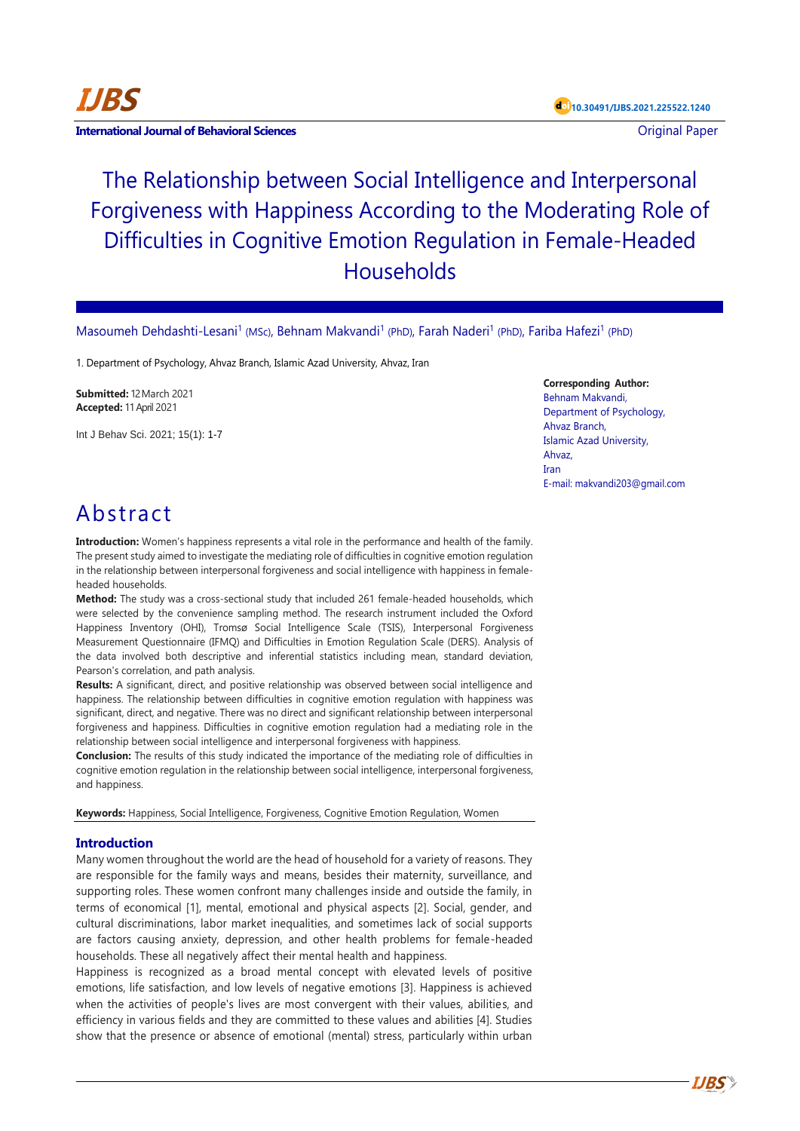

**International Journal of Behavioral Sciences Contract Contract Contract Contract Contract Contract Contract Contract Contract Contract Contract Contract Contract Contract Contract Contract Contract Contract Contract Con** 

The Relationship between Social Intelligence and Interpersonal Forgiveness with Happiness According to the Moderating Role of Difficulties in Cognitive Emotion Regulation in Female-Headed **Households** 

Masoumeh Dehdashti-Lesani<sup>1</sup> (MSc), Behnam Makvandi<sup>1</sup> (PhD), Farah Naderi<sup>1</sup> (PhD), Fariba Hafezi<sup>1</sup> (PhD)

1. Department of Psychology, Ahvaz Branch, Islamic Azad University, Ahvaz, Iran

**Submitted:** 12 March 2021 **Accepted:** 11 April 2021

Int J Behav Sci. 2021; 15(1): 1-7

**Corresponding Author:**

Behnam Makvandi, Department of Psychology, Ahvaz Branch, Islamic Azad University, Ahvaz, Iran E-mail: makvandi203@gmail.com

# Abstract

**Introduction:** Women's happiness represents a vital role in the performance and health of the family. The present study aimed to investigate the mediating role of difficulties in cognitive emotion regulation in the relationship between interpersonal forgiveness and social intelligence with happiness in femaleheaded households.

**Method:** The study was a cross-sectional study that included 261 female-headed households, which were selected by the convenience sampling method. The research instrument included the Oxford Happiness Inventory (OHI), Tromsø Social Intelligence Scale (TSIS), Interpersonal Forgiveness Measurement Questionnaire (IFMQ) and Difficulties in Emotion Regulation Scale (DERS). Analysis of the data involved both descriptive and inferential statistics including mean, standard deviation, Pearson's correlation, and path analysis.

**Results:** A significant, direct, and positive relationship was observed between social intelligence and happiness. The relationship between difficulties in cognitive emotion regulation with happiness was significant, direct, and negative. There was no direct and significant relationship between interpersonal forgiveness and happiness. Difficulties in cognitive emotion regulation had a mediating role in the relationship between social intelligence and interpersonal forgiveness with happiness.

**Conclusion:** The results of this study indicated the importance of the mediating role of difficulties in cognitive emotion regulation in the relationship between social intelligence, interpersonal forgiveness, and happiness.

**Keywords:** Happiness, Social Intelligence, Forgiveness, Cognitive Emotion Regulation, Women

#### **Introduction**

Many women throughout the world are the head of household for a variety of reasons. They are responsible for the family ways and means, besides their maternity, surveillance, and supporting roles. These women confront many challenges inside and outside the family, in terms of economical [1], mental, emotional and physical aspects [2]. Social, gender, and cultural discriminations, labor market inequalities, and sometimes lack of social supports are factors causing anxiety, depression, and other health problems for female-headed households. These all negatively affect their mental health and happiness.

Happiness is recognized as a broad mental concept with elevated levels of positive emotions, life satisfaction, and low levels of negative emotions [3]. Happiness is achieved when the activities of people's lives are most convergent with their values, abilities, and efficiency in various fields and they are committed to these values and abilities [4]. Studies show that the presence or absence of emotional (mental) stress, particularly within urban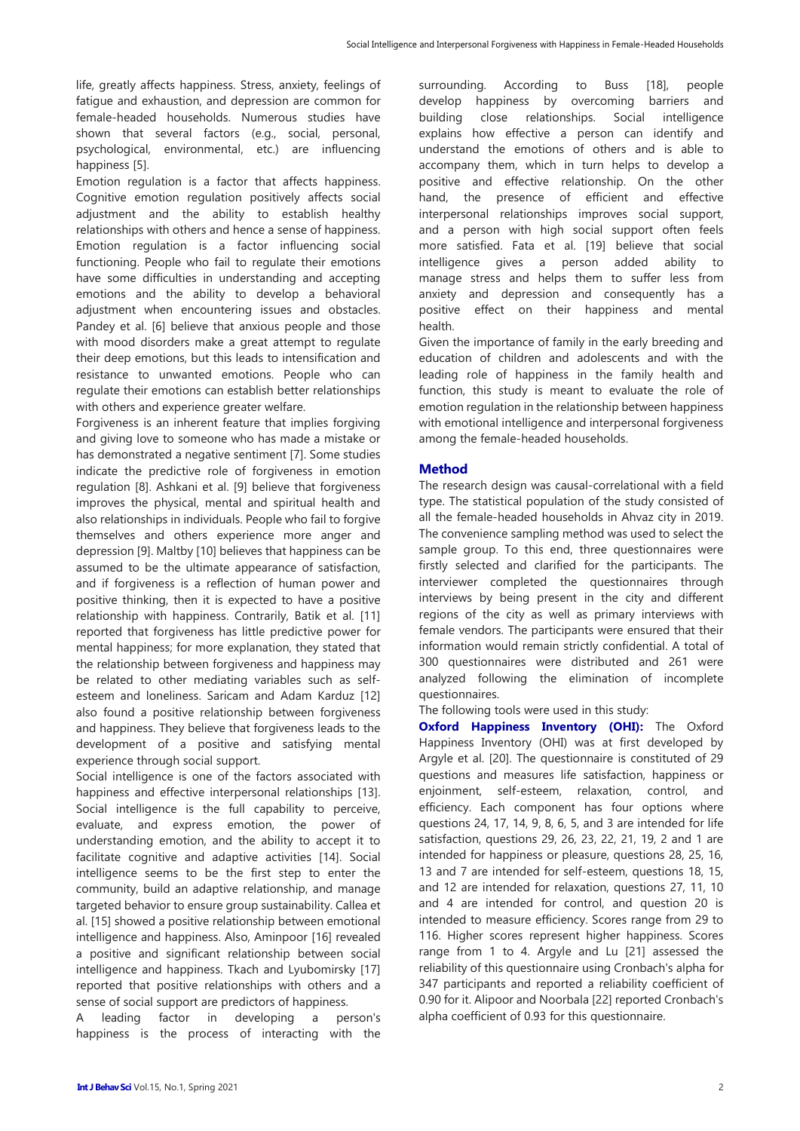life, greatly affects happiness. Stress, anxiety, feelings of fatigue and exhaustion, and depression are common for female-headed households. Numerous studies have shown that several factors (e.g., social, personal, psychological, environmental, etc.) are influencing happiness [5].

Emotion regulation is a factor that affects happiness. Cognitive emotion regulation positively affects social adjustment and the ability to establish healthy relationships with others and hence a sense of happiness. Emotion regulation is a factor influencing social functioning. People who fail to regulate their emotions have some difficulties in understanding and accepting emotions and the ability to develop a behavioral adjustment when encountering issues and obstacles. Pandey et al. [6] believe that anxious people and those with mood disorders make a great attempt to regulate their deep emotions, but this leads to intensification and resistance to unwanted emotions. People who can regulate their emotions can establish better relationships with others and experience greater welfare.

Forgiveness is an inherent feature that implies forgiving and giving love to someone who has made a mistake or has demonstrated a negative sentiment [7]. Some studies indicate the predictive role of forgiveness in emotion regulation [8]. Ashkani et al. [9] believe that forgiveness improves the physical, mental and spiritual health and also relationships in individuals. People who fail to forgive themselves and others experience more anger and depression [9]. Maltby [10] believes that happiness can be assumed to be the ultimate appearance of satisfaction, and if forgiveness is a reflection of human power and positive thinking, then it is expected to have a positive relationship with happiness. Contrarily, Batik et al. [11] reported that forgiveness has little predictive power for mental happiness; for more explanation, they stated that the relationship between forgiveness and happiness may be related to other mediating variables such as selfesteem and loneliness. Saricam and Adam Karduz [12] also found a positive relationship between forgiveness and happiness. They believe that forgiveness leads to the development of a positive and satisfying mental experience through social support.

Social intelligence is one of the factors associated with happiness and effective interpersonal relationships [13]. Social intelligence is the full capability to perceive, evaluate, and express emotion, the power of understanding emotion, and the ability to accept it to facilitate cognitive and adaptive activities [14]. Social intelligence seems to be the first step to enter the community, build an adaptive relationship, and manage targeted behavior to ensure group sustainability. Callea et al. [15] showed a positive relationship between emotional intelligence and happiness. Also, Aminpoor [16] revealed a positive and significant relationship between social intelligence and happiness. Tkach and Lyubomirsky [17] reported that positive relationships with others and a sense of social support are predictors of happiness.

A leading factor in developing a person's happiness is the process of interacting with the surrounding. According to Buss [18], people develop happiness by overcoming barriers and building close relationships. Social intelligence explains how effective a person can identify and understand the emotions of others and is able to accompany them, which in turn helps to develop a positive and effective relationship. On the other hand, the presence of efficient and effective interpersonal relationships improves social support, and a person with high social support often feels more satisfied. Fata et al. [19] believe that social intelligence gives a person added ability to manage stress and helps them to suffer less from anxiety and depression and consequently has a positive effect on their happiness and mental health.

Given the importance of family in the early breeding and education of children and adolescents and with the leading role of happiness in the family health and function, this study is meant to evaluate the role of emotion regulation in the relationship between happiness with emotional intelligence and interpersonal forgiveness among the female-headed households.

# **Method**

The research design was causal-correlational with a field type. The statistical population of the study consisted of all the female-headed households in Ahvaz city in 2019. The convenience sampling method was used to select the sample group. To this end, three questionnaires were firstly selected and clarified for the participants. The interviewer completed the questionnaires through interviews by being present in the city and different regions of the city as well as primary interviews with female vendors. The participants were ensured that their information would remain strictly confidential. A total of 300 questionnaires were distributed and 261 were analyzed following the elimination of incomplete questionnaires.

The following tools were used in this study:

**Oxford Happiness Inventory (OHI):** The Oxford Happiness Inventory (OHI) was at first developed by Argyle et al. [20]. The questionnaire is constituted of 29 questions and measures life satisfaction, happiness or enjoinment, self-esteem, relaxation, control, and efficiency. Each component has four options where questions 24, 17, 14, 9, 8, 6, 5, and 3 are intended for life satisfaction, questions 29, 26, 23, 22, 21, 19, 2 and 1 are intended for happiness or pleasure, questions 28, 25, 16, 13 and 7 are intended for self-esteem, questions 18, 15, and 12 are intended for relaxation, questions 27, 11, 10 and 4 are intended for control, and question 20 is intended to measure efficiency. Scores range from 29 to 116. Higher scores represent higher happiness. Scores range from 1 to 4. Argyle and Lu [21] assessed the reliability of this questionnaire using Cronbach's alpha for 347 participants and reported a reliability coefficient of 0.90 for it. Alipoor and Noorbala [22] reported Cronbach's alpha coefficient of 0.93 for this questionnaire.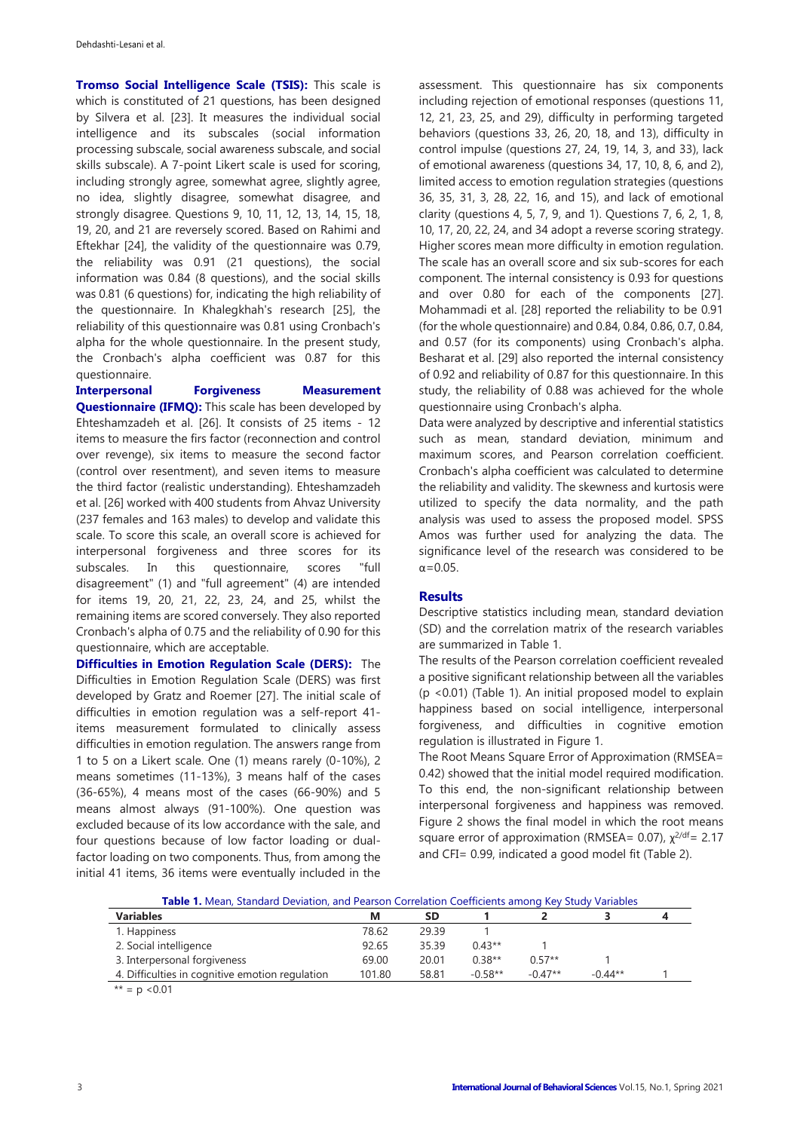**Tromso Social Intelligence Scale (TSIS):** This scale is which is constituted of 21 questions, has been designed by Silvera et al. [23]. It measures the individual social intelligence and its subscales (social information processing subscale, social awareness subscale, and social skills subscale). A 7-point Likert scale is used for scoring, including strongly agree, somewhat agree, slightly agree, no idea, slightly disagree, somewhat disagree, and strongly disagree. Questions 9, 10, 11, 12, 13, 14, 15, 18, 19, 20, and 21 are reversely scored. Based on Rahimi and Eftekhar [24], the validity of the questionnaire was 0.79, the reliability was 0.91 (21 questions), the social information was 0.84 (8 questions), and the social skills was 0.81 (6 questions) for, indicating the high reliability of the questionnaire. In Khalegkhah's research [25], the reliability of this questionnaire was 0.81 using Cronbach's alpha for the whole questionnaire. In the present study, the Cronbach's alpha coefficient was 0.87 for this questionnaire.

**Interpersonal Forgiveness Measurement Questionnaire (IFMQ):** This scale has been developed by Ehteshamzadeh et al. [26]. It consists of 25 items - 12 items to measure the firs factor (reconnection and control over revenge), six items to measure the second factor (control over resentment), and seven items to measure the third factor (realistic understanding). Ehteshamzadeh et al. [26] worked with 400 students from Ahvaz University (237 females and 163 males) to develop and validate this scale. To score this scale, an overall score is achieved for interpersonal forgiveness and three scores for its subscales. In this questionnaire, scores "full disagreement" (1) and "full agreement" (4) are intended for items 19, 20, 21, 22, 23, 24, and 25, whilst the remaining items are scored conversely. They also reported Cronbach's alpha of 0.75 and the reliability of 0.90 for this questionnaire, which are acceptable.

**Difficulties in Emotion Regulation Scale (DERS):** The Difficulties in Emotion Regulation Scale (DERS) was first developed by Gratz and Roemer [27]. The initial scale of difficulties in emotion regulation was a self-report 41 items measurement formulated to clinically assess difficulties in emotion regulation. The answers range from 1 to 5 on a Likert scale. One (1) means rarely (0-10%), 2 means sometimes (11-13%), 3 means half of the cases (36-65%), 4 means most of the cases (66-90%) and 5 means almost always (91-100%). One question was excluded because of its low accordance with the sale, and four questions because of low factor loading or dualfactor loading on two components. Thus, from among the initial 41 items, 36 items were eventually included in the

assessment. This questionnaire has six components including rejection of emotional responses (questions 11, 12, 21, 23, 25, and 29), difficulty in performing targeted behaviors (questions 33, 26, 20, 18, and 13), difficulty in control impulse (questions 27, 24, 19, 14, 3, and 33), lack of emotional awareness (questions 34, 17, 10, 8, 6, and 2), limited access to emotion regulation strategies (questions 36, 35, 31, 3, 28, 22, 16, and 15), and lack of emotional clarity (questions 4, 5, 7, 9, and 1). Questions 7, 6, 2, 1, 8, 10, 17, 20, 22, 24, and 34 adopt a reverse scoring strategy. Higher scores mean more difficulty in emotion regulation. The scale has an overall score and six sub-scores for each component. The internal consistency is 0.93 for questions and over 0.80 for each of the components [27]. Mohammadi et al. [28] reported the reliability to be 0.91 (for the whole questionnaire) and 0.84, 0.84, 0.86, 0.7, 0.84, and 0.57 (for its components) using Cronbach's alpha. Besharat et al. [29] also reported the internal consistency of 0.92 and reliability of 0.87 for this questionnaire. In this study, the reliability of 0.88 was achieved for the whole questionnaire using Cronbach's alpha.

Data were analyzed by descriptive and inferential statistics such as mean, standard deviation, minimum and maximum scores, and Pearson correlation coefficient. Cronbach's alpha coefficient was calculated to determine the reliability and validity. The skewness and kurtosis were utilized to specify the data normality, and the path analysis was used to assess the proposed model. SPSS Amos was further used for analyzing the data. The significance level of the research was considered to be  $α = 0.05$ .

## **Results**

Descriptive statistics including mean, standard deviation (SD) and the correlation matrix of the research variables are summarized in Table 1.

The results of the Pearson correlation coefficient revealed a positive significant relationship between all the variables (p <0.01) (Table 1). An initial proposed model to explain happiness based on social intelligence, interpersonal forgiveness, and difficulties in cognitive emotion regulation is illustrated in Figure 1.

The Root Means Square Error of Approximation (RMSEA= 0.42) showed that the initial model required modification. To this end, the non-significant relationship between interpersonal forgiveness and happiness was removed. Figure 2 shows the final model in which the root means square error of approximation (RMSEA= 0.07),  $\chi^{2/df}$ = 2.17 and CFI= 0.99, indicated a good model fit (Table 2).

| <b>Table 1.</b> Mean, Standard Deviation, and Pearson Correlation Coefficients among Key Study Variables |  |  |
|----------------------------------------------------------------------------------------------------------|--|--|
|                                                                                                          |  |  |

| <b>Variables</b>                                | М      | SD    |           |           |           |  |
|-------------------------------------------------|--------|-------|-----------|-----------|-----------|--|
| 1. Happiness                                    | 78.62  | 29.39 |           |           |           |  |
| 2. Social intelligence                          | 92.65  | 35.39 | $0.43**$  |           |           |  |
| 3. Interpersonal forgiveness                    | 69.00  | 20.01 | $0.38**$  | $0.57**$  |           |  |
| 4. Difficulties in cognitive emotion regulation | 101.80 | 58.81 | $-0.58**$ | $-0.47**$ | $-0.44**$ |  |

 $** = p < 0.01$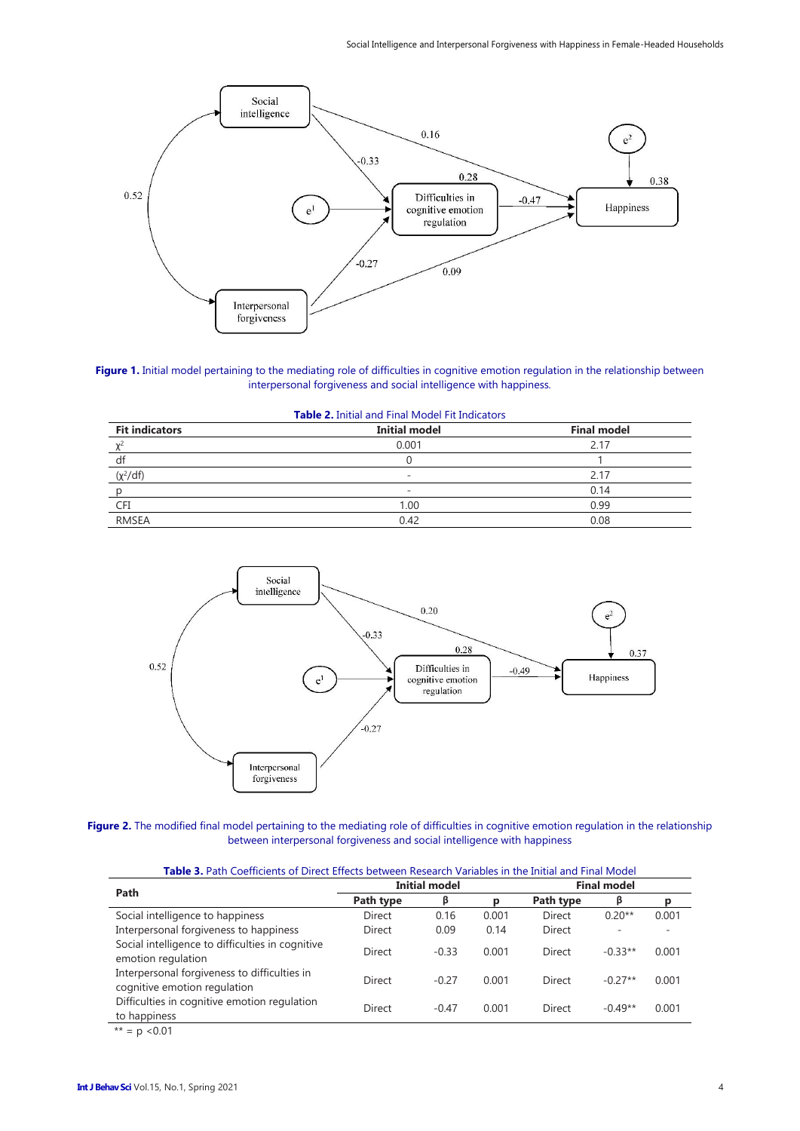

Figure 1. Initial model pertaining to the mediating role of difficulties in cognitive emotion regulation in the relationship between interpersonal forgiveness and social intelligence with happiness.

| <b>Fit indicators</b> | <b>Initial model</b>     | <b>Final model</b> |
|-----------------------|--------------------------|--------------------|
|                       | 0.001                    |                    |
| dt                    |                          |                    |
| $x^2$ /df             | $\overline{\phantom{a}}$ |                    |
|                       | $\overline{\phantom{a}}$ | 0.14               |
|                       | 0.00                     | ገ ዓዓ               |

RMSEA 0.42 0.08



Figure 2. The modified final model pertaining to the mediating role of difficulties in cognitive emotion regulation in the relationship between interpersonal forgiveness and social intelligence with happiness

| Table 3. Path Coefficients of Direct Effects between Research Variables in the Initial and Final Model |                      |         |       |                    |           |       |  |
|--------------------------------------------------------------------------------------------------------|----------------------|---------|-------|--------------------|-----------|-------|--|
|                                                                                                        | <b>Initial model</b> |         |       | <b>Final model</b> |           |       |  |
| Path                                                                                                   | Path type            | ß       | р     | Path type          | β         | р     |  |
| Social intelligence to happiness                                                                       | Direct               | 0.16    | 0.001 | Direct             | $0.20**$  | 0.001 |  |
| Interpersonal forgiveness to happiness                                                                 | Direct               | 0.09    | 0.14  | Direct             |           |       |  |
| Social intelligence to difficulties in cognitive<br>emotion regulation                                 | Direct               | $-0.33$ | 0.001 | Direct             | $-0.33**$ | 0.001 |  |
| Interpersonal forgiveness to difficulties in<br>cognitive emotion regulation                           | Direct               | $-0.27$ | 0.001 | Direct             | $-0.27**$ | 0.001 |  |
| Difficulties in cognitive emotion regulation<br>to happiness                                           | <b>Direct</b>        | $-0.47$ | 0.001 | Direct             | $-0.49**$ | 0.001 |  |

 $** = p < 0.01$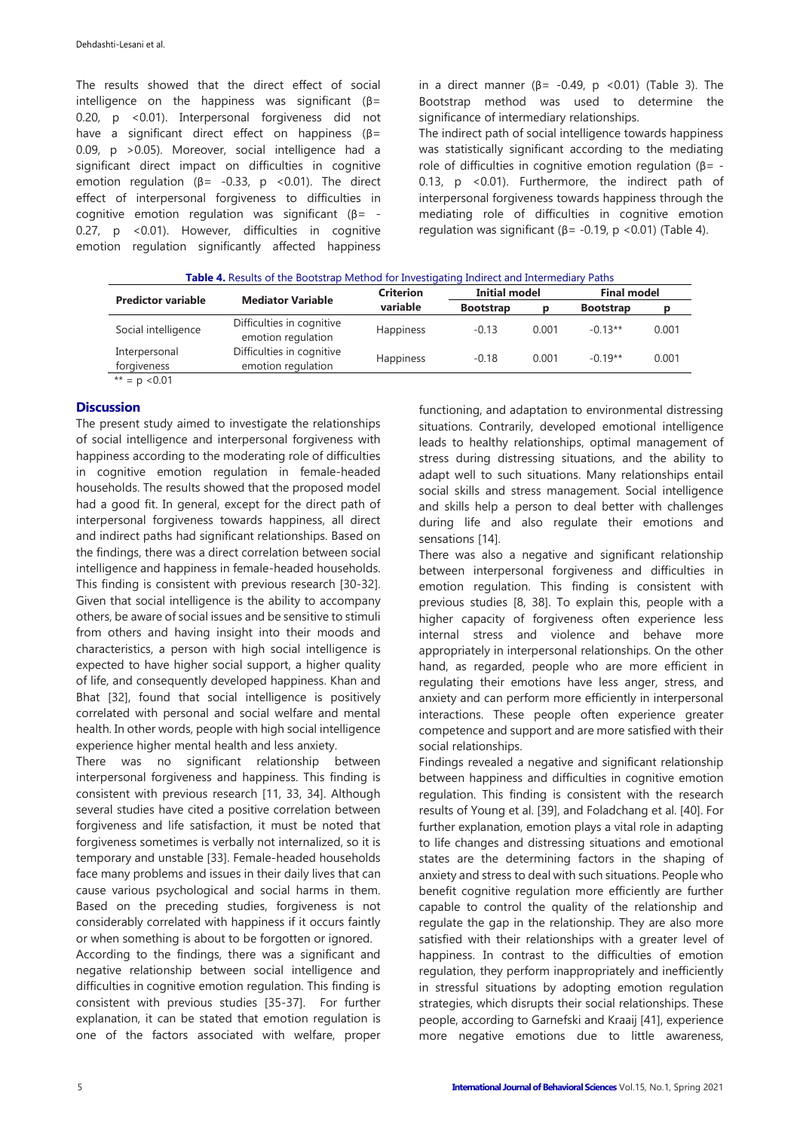The results showed that the direct effect of social intelligence on the happiness was significant ( $\beta$ = 0.20, p <0.01). Interpersonal forgiveness did not have a significant direct effect on happiness (β= 0.09, p >0.05). Moreover, social intelligence had a significant direct impact on difficulties in cognitive emotion regulation ( $β = -0.33$ ,  $p < 0.01$ ). The direct effect of interpersonal forgiveness to difficulties in cognitive emotion regulation was significant ( $\beta$ = -0.27, p <0.01). However, difficulties in cognitive emotion regulation significantly affected happiness in a direct manner ( $β = -0.49$ ,  $p < 0.01$ ) (Table 3). The Bootstrap method was used to determine the significance of intermediary relationships.

The indirect path of social intelligence towards happiness was statistically significant according to the mediating role of difficulties in cognitive emotion regulation (β= -0.13, p <0.01). Furthermore, the indirect path of interpersonal forgiveness towards happiness through the mediating role of difficulties in cognitive emotion regulation was significant ( $β = -0.19$ ,  $p < 0.01$ ) (Table 4).

| <b>Table 4.</b> Nesults of the bootstrap intethou for investigating indirect and intermedialy natifs |                                                 |                              |                      |       |                    |       |
|------------------------------------------------------------------------------------------------------|-------------------------------------------------|------------------------------|----------------------|-------|--------------------|-------|
| <b>Predictor variable</b>                                                                            | <b>Mediator Variable</b>                        | <b>Criterion</b><br>variable | <b>Initial model</b> |       | <b>Final model</b> |       |
|                                                                                                      |                                                 |                              | <b>Bootstrap</b>     |       | <b>Bootstrap</b>   |       |
| Social intelligence                                                                                  | Difficulties in cognitive<br>emotion regulation | <b>Happiness</b>             | $-0.13$              | 0.001 | $-0.13**$          | 0.001 |
| Interpersonal<br>forgiveness                                                                         | Difficulties in cognitive<br>emotion regulation | <b>Happiness</b>             | $-0.18$              | 0.001 | $-0.19**$          | 0.001 |
| ** = $p$ < 0.01                                                                                      |                                                 |                              |                      |       |                    |       |

## **Table 4.** Results of the Bootstrap Method for Investigating Indirect and Intermediary Paths

## **Discussion**

The present study aimed to investigate the relationships of social intelligence and interpersonal forgiveness with happiness according to the moderating role of difficulties in cognitive emotion regulation in female-headed households. The results showed that the proposed model had a good fit. In general, except for the direct path of interpersonal forgiveness towards happiness, all direct and indirect paths had significant relationships. Based on the findings, there was a direct correlation between social intelligence and happiness in female-headed households. This finding is consistent with previous research [30-32]. Given that social intelligence is the ability to accompany others, be aware of social issues and be sensitive to stimuli from others and having insight into their moods and characteristics, a person with high social intelligence is expected to have higher social support, a higher quality of life, and consequently developed happiness. Khan and Bhat [32], found that social intelligence is positively correlated with personal and social welfare and mental health. In other words, people with high social intelligence experience higher mental health and less anxiety.

There was no significant relationship between interpersonal forgiveness and happiness. This finding is consistent with previous research [11, 33, 34]. Although several studies have cited a positive correlation between forgiveness and life satisfaction, it must be noted that forgiveness sometimes is verbally not internalized, so it is temporary and unstable [33]. Female-headed households face many problems and issues in their daily lives that can cause various psychological and social harms in them. Based on the preceding studies, forgiveness is not considerably correlated with happiness if it occurs faintly or when something is about to be forgotten or ignored.

According to the findings, there was a significant and negative relationship between social intelligence and difficulties in cognitive emotion regulation. This finding is consistent with previous studies [35-37]. For further explanation, it can be stated that emotion regulation is one of the factors associated with welfare, proper functioning, and adaptation to environmental distressing situations. Contrarily, developed emotional intelligence leads to healthy relationships, optimal management of stress during distressing situations, and the ability to adapt well to such situations. Many relationships entail social skills and stress management. Social intelligence and skills help a person to deal better with challenges during life and also regulate their emotions and sensations [14].

There was also a negative and significant relationship between interpersonal forgiveness and difficulties in emotion regulation. This finding is consistent with previous studies [8, 38]. To explain this, people with a higher capacity of forgiveness often experience less internal stress and violence and behave more appropriately in interpersonal relationships. On the other hand, as regarded, people who are more efficient in regulating their emotions have less anger, stress, and anxiety and can perform more efficiently in interpersonal interactions. These people often experience greater competence and support and are more satisfied with their social relationships.

Findings revealed a negative and significant relationship between happiness and difficulties in cognitive emotion regulation. This finding is consistent with the research results of Young et al. [39], and Foladchang et al. [40]. For further explanation, emotion plays a vital role in adapting to life changes and distressing situations and emotional states are the determining factors in the shaping of anxiety and stress to deal with such situations. People who benefit cognitive regulation more efficiently are further capable to control the quality of the relationship and regulate the gap in the relationship. They are also more satisfied with their relationships with a greater level of happiness. In contrast to the difficulties of emotion regulation, they perform inappropriately and inefficiently in stressful situations by adopting emotion regulation strategies, which disrupts their social relationships. These people, according to Garnefski and Kraaij [41], experience more negative emotions due to little awareness,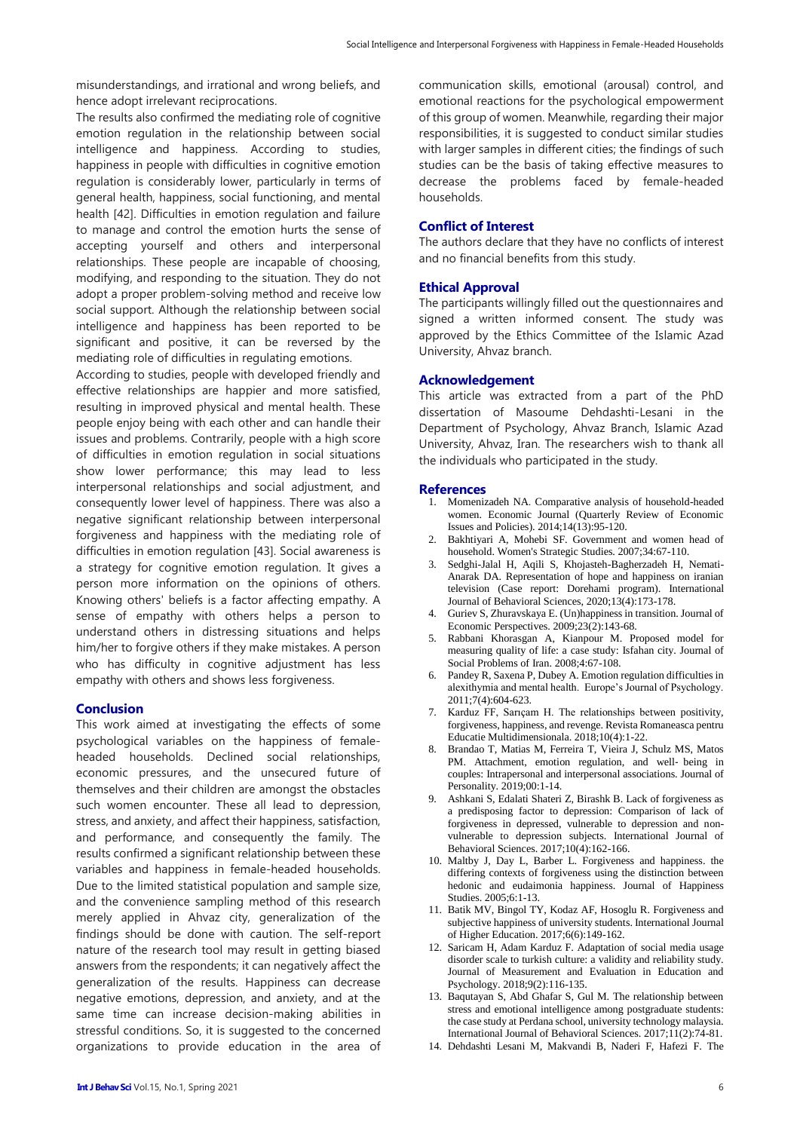misunderstandings, and irrational and wrong beliefs, and hence adopt irrelevant reciprocations.

The results also confirmed the mediating role of cognitive emotion regulation in the relationship between social intelligence and happiness. According to studies, happiness in people with difficulties in cognitive emotion regulation is considerably lower, particularly in terms of general health, happiness, social functioning, and mental health [42]. Difficulties in emotion regulation and failure to manage and control the emotion hurts the sense of accepting yourself and others and interpersonal relationships. These people are incapable of choosing, modifying, and responding to the situation. They do not adopt a proper problem-solving method and receive low social support. Although the relationship between social intelligence and happiness has been reported to be significant and positive, it can be reversed by the mediating role of difficulties in regulating emotions.

According to studies, people with developed friendly and effective relationships are happier and more satisfied, resulting in improved physical and mental health. These people enjoy being with each other and can handle their issues and problems. Contrarily, people with a high score of difficulties in emotion regulation in social situations show lower performance; this may lead to less interpersonal relationships and social adjustment, and consequently lower level of happiness. There was also a negative significant relationship between interpersonal forgiveness and happiness with the mediating role of difficulties in emotion regulation [43]. Social awareness is a strategy for cognitive emotion regulation. It gives a person more information on the opinions of others. Knowing others' beliefs is a factor affecting empathy. A sense of empathy with others helps a person to understand others in distressing situations and helps him/her to forgive others if they make mistakes. A person who has difficulty in cognitive adjustment has less empathy with others and shows less forgiveness.

# **Conclusion**

This work aimed at investigating the effects of some psychological variables on the happiness of femaleheaded households. Declined social relationships, economic pressures, and the unsecured future of themselves and their children are amongst the obstacles such women encounter. These all lead to depression, stress, and anxiety, and affect their happiness, satisfaction, and performance, and consequently the family. The results confirmed a significant relationship between these variables and happiness in female-headed households. Due to the limited statistical population and sample size, and the convenience sampling method of this research merely applied in Ahvaz city, generalization of the findings should be done with caution. The self-report nature of the research tool may result in getting biased answers from the respondents; it can negatively affect the generalization of the results. Happiness can decrease negative emotions, depression, and anxiety, and at the same time can increase decision-making abilities in stressful conditions. So, it is suggested to the concerned organizations to provide education in the area of communication skills, emotional (arousal) control, and emotional reactions for the psychological empowerment of this group of women. Meanwhile, regarding their major responsibilities, it is suggested to conduct similar studies with larger samples in different cities; the findings of such studies can be the basis of taking effective measures to decrease the problems faced by female-headed households.

## **Conflict of Interest**

The authors declare that they have no conflicts of interest and no financial benefits from this study.

#### **Ethical Approval**

The participants willingly filled out the questionnaires and signed a written informed consent. The study was approved by the Ethics Committee of the Islamic Azad University, Ahvaz branch.

#### **Acknowledgement**

This article was extracted from a part of the PhD dissertation of Masoume Dehdashti-Lesani in the Department of Psychology, Ahvaz Branch, Islamic Azad University, Ahvaz, Iran. The researchers wish to thank all the individuals who participated in the study.

#### **References**

- 1. Momenizadeh NA. Comparative analysis of household-headed women. Economic Journal (Quarterly Review of Economic Issues and Policies). 2014;14(13):95-120.
- 2. Bakhtiyari A, Mohebi SF. Government and women head of household. Women's Strategic Studies. 2007;34:67-110.
- 3. Sedghi-Jalal H, Aqili S, Khojasteh-Bagherzadeh H, Nemati-Anarak DA. Representation of hope and happiness on iranian television (Case report: Dorehami program). International Journal of Behavioral Sciences, 2020;13(4):173-178.
- 4. Guriev S, Zhuravskaya E. (Un)happiness in transition. Journal of Economic Perspectives. 2009;23(2):143-68.
- 5. Rabbani Khorasgan A, Kianpour M. Proposed model for measuring quality of life: a case study: Isfahan city. Journal of Social Problems of Iran. 2008;4:67-108.
- 6. Pandey R, Saxena P, Dubey A. Emotion regulation difficulties in alexithymia and mental health. Europe's Journal of Psychology. 2011;7(4):604-623.
- 7. Karduz FF, Sarıçam H. The relationships between positivity, forgiveness, happiness, and revenge. Revista Romaneasca pentru Educatie Multidimensionala. 2018;10(4):1-22.
- 8. Brandao T, Matias M, Ferreira T, Vieira J, Schulz MS, Matos PM. Attachment, emotion regulation, and well‐ being in couples: Intrapersonal and interpersonal associations. Journal of Personality. 2019;00:1-14.
- 9. Ashkani S, Edalati Shateri Z, Birashk B. Lack of forgiveness as a predisposing factor to depression: Comparison of lack of forgiveness in depressed, vulnerable to depression and nonvulnerable to depression subjects. International Journal of Behavioral Sciences. 2017;10(4):162-166.
- 10. Maltby J, Day L, Barber L. Forgiveness and happiness. the differing contexts of forgiveness using the distinction between hedonic and eudaimonia happiness. Journal of Happiness Studies. 2005;6:1-13.
- 11. Batik MV, Bingol TY, Kodaz AF, Hosoglu R. Forgiveness and subjective happiness of university students. International Journal of Higher Education. 2017;6(6):149-162.
- 12. Saricam H, Adam Karduz F. Adaptation of social media usage disorder scale to turkish culture: a validity and reliability study. Journal of Measurement and Evaluation in Education and Psychology. 2018;9(2):116-135.
- 13. Baqutayan S, Abd Ghafar S, Gul M. The relationship between stress and emotional intelligence among postgraduate students: the case study at Perdana school, university technology malaysia. International Journal of Behavioral Sciences. 2017;11(2):74-81.
- 14. Dehdashti Lesani M, Makvandi B, Naderi F, Hafezi F. The